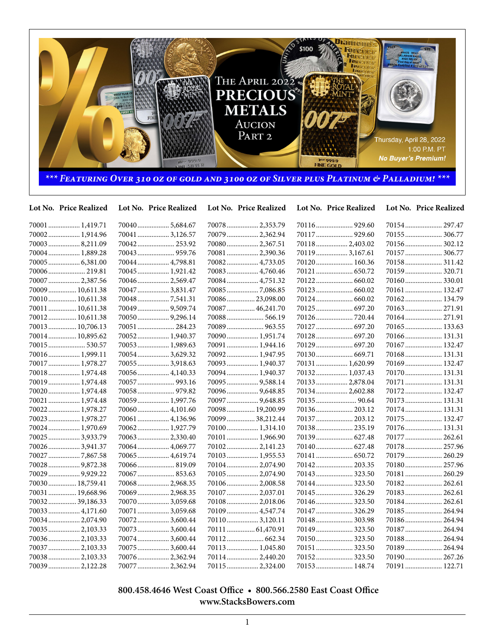

| Lot No. Price Realized | Lot No. Price Realized | Lot No. Price Realized | Lot No. Price Realized | Lot No. Price Realized |
|------------------------|------------------------|------------------------|------------------------|------------------------|
| 70001  1,419.71        | 700405,684.67          | 70078  2,353.79        |                        | 70154 297.47           |
| 70002 1,914.96         | 700413,126.57          | 70079  2,362.94        | 70117  929.60          | 70155  306.77          |
| 70003 8,211.09         | 70042 253.92           | 70080 2,367.51         | 70118 2,403.02         | 70156 302.12           |
| 70004 1,889.28         | 70043 959.76           | 70081  2,390.36        | 70119 3,167.61         | 70157  306.77          |
| 70005  6,381.00        | 70044 4,798.81         | 70082 4,733.05         | 70120 160.36           | 70158 311.42           |
| 70006 219.81           | 70045 1,921.42         | 70083  4,760.46        | 70121  650.72          | 70159 320.71           |
| 70007  2,387.56        | 70046 2,569.47         | 70084 4,751.32         |                        | 70160 330.01           |
| 70009  10,611.38       | 70047  3,831.47        | 700857,086.85          |                        | 70161  132.47          |
| 70010 10,611.38        | 700487,541.31          | 70086 23,098.00        |                        | 70162 134.79           |
| 70011  10,611.38       | 70049  9,509.74        | 70087  46,241.70       | 70125  697.20          | 70163 271.91           |
| 70012 10,611.38        |                        | 70088 566.19           | 70126 720.44           | 70164 271.91           |
| 70013  10,706.13       | 70051  284.23          | 70089  963.55          | 70127  697.20          | 70165 133.63           |
| 70014  10,895.62       | 70052 1,940.37         | 70090 1,951.74         | 70128 697.20           | 70166 131.31           |
| 70015 530.57           | 70053 1,989.63         | 70091  1,944.16        | 70129  697.20          | 70167  132.47          |
| 70016 1,999.11         | 700543,629.32          | 70092 1,947.95         |                        | 70168 131.31           |
| 70017  1,978.27        | 700553,918.63          | 70093  1,940.37        | 70131  1,620.99        | 70169 132.47           |
| 70018  1,974.48        | 70056 4,140.33         | 70094  1,940.37        | 70132 1,037.43         | 70170 131.31           |
| 70019  1,974.48        | 70057  993.16          | 70095  9,588.14        | 70133  2,878.04        | 70171  131.31          |
| 70020 1,974.48         | 70058 979.82           | 70096  9,648.85        | 70134  2,602.88        | 70172 132.47           |
| 70021  1,974.48        | 70059 1,997.76         | 70097  9,648.85        |                        | 70173 131.31           |
| 70022 1,978.27         | 70060 4,101.60         | 70098  19,200.99       | 70136 203.12           | 70174 131.31           |
| 70023  1,978.27        | 70061  4,136.96        | 70099  38,212.44       | 70137  203.12          | 70175  132.47          |
| 70024 1,970.69         | 70062 1,927.79         | 70100 1,314.10         | 70138 235.19           | 70176 131.31           |
| 70025  3,933.79        | 70063 2,330.40         | 70101  1,966.90        | 70139 627.48           | 70177  262.61          |
| 70026 3,941.37         | 70064 4,069.77         | 701022,141.23          | 70140 627.48           | 70178  257.96          |
| 70027 7,867.58         | 70065 4,619.74         | 70103 1,955.53         | 70141  650.72          | 70179  260.29          |
| 700289,872.38          | 70066 819.09           | 70104 2,074.90         | 70142 203.35           | 70180 257.96           |
| 70029  9,929.22        | 70067  853.63          | 70105  2,074.90        | 70143  323.50          | 70181 260.29           |
| 70030  18,759.41       | 70068 2,968.35         | 70106 2,008.58         |                        |                        |
| 70031  19,668.96       | 70069 2,968.35         | 70107  2,037.01        | 70145  326.29          | 70183 262.61           |
| 70032 39,186.33        | 70070 3,059.68         | 70108 2,018.06         | 70146 323.50           | 70184 262.61           |
| 70033  4,171.60        | 70071  3,059.68        | 70109  4,547.74        | 70147  326.29          | 70185 264.94           |
| 70034 2,074.90         | 70072 3,600.44         | 701103,120.11          | 70148  303.98          | 70186 264.94           |
| 70035  2,103.33        | 70073 3,600.44         | 70111  61,470.91       | 70149  323.50          | 70187  264.94          |
| 70036 2,103.33         | 70074 3,600.44         | 70112 662.34           | 70150 323.50           | 70188 264.94           |
| 70037  2,103.33        | 70075  3,600.44        | 70113 1,045.80         | 70151  323.50          | 70189  264.94          |
| 70038 2,103.33         | 70076 2,362.94         | 701142,440.20          | 70152 323.50           | 70190 267.26           |
| 70039  2,122.28        | 70077  2.362.94        | 701152.324.00          | 70153 148.74           | 70191 122.71           |

 **800.458.4646 West Coast Office • 800.566.2580 East Coast Office www.StacksBowers.com**